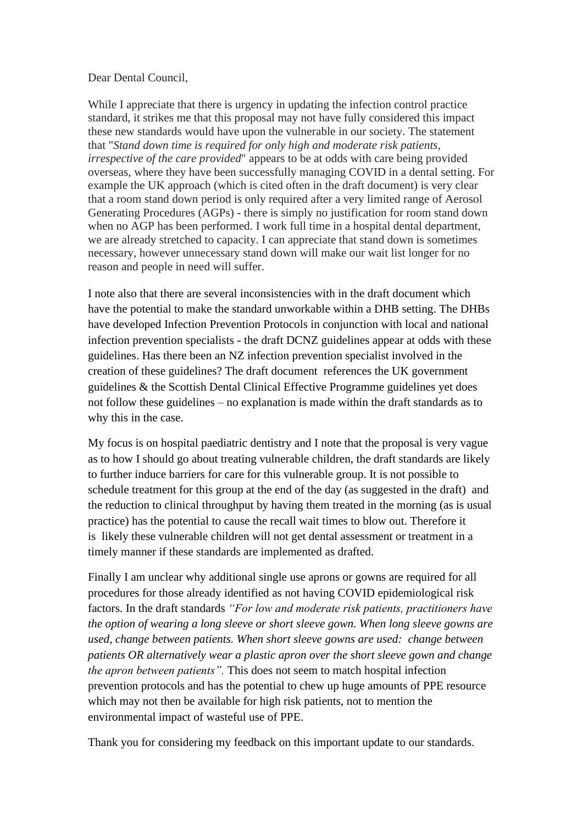## Dear Dental Council,

While I appreciate that there is urgency in updating the infection control practice standard, it strikes me that this proposal may not have fully considered this impact these new standards would have upon the vulnerable in our society. The statement that "*Stand down time is required for only high and moderate risk patients, irrespective of the care provided*" appears to be at odds with care being provided overseas, where they have been successfully managing COVID in a dental setting. For example the UK approach (which is cited often in the draft document) is very clear that a room stand down period is only required after a very limited range of Aerosol Generating Procedures (AGPs) - there is simply no justification for room stand down when no AGP has been performed. I work full time in a hospital dental department, we are already stretched to capacity. I can appreciate that stand down is sometimes necessary, however unnecessary stand down will make our wait list longer for no reason and people in need will suffer.

I note also that there are several inconsistencies with in the draft document which have the potential to make the standard unworkable within a DHB setting. The DHBs have developed Infection Prevention Protocols in conjunction with local and national infection prevention specialists - the draft DCNZ guidelines appear at odds with these guidelines. Has there been an NZ infection prevention specialist involved in the creation of these guidelines? The draft document references the UK government guidelines & the Scottish Dental Clinical Effective Programme guidelines yet does not follow these guidelines – no explanation is made within the draft standards as to why this in the case.

My focus is on hospital paediatric dentistry and I note that the proposal is very vague as to how I should go about treating vulnerable children, the draft standards are likely to further induce barriers for care for this vulnerable group. It is not possible to schedule treatment for this group at the end of the day (as suggested in the draft) and the reduction to clinical throughput by having them treated in the morning (as is usual practice) has the potential to cause the recall wait times to blow out. Therefore it is likely these vulnerable children will not get dental assessment or treatment in a timely manner if these standards are implemented as drafted.

Finally I am unclear why additional single use aprons or gowns are required for all procedures for those already identified as not having COVID epidemiological risk factors. In the draft standards *"For low and moderate risk patients, practitioners have the option of wearing a long sleeve or short sleeve gown. When long sleeve gowns are used, change between patients. When short sleeve gowns are used: change between patients OR alternatively wear a plastic apron over the short sleeve gown and change the apron between patients".* This does not seem to match hospital infection prevention protocols and has the potential to chew up huge amounts of PPE resource which may not then be available for high risk patients, not to mention the environmental impact of wasteful use of PPE.

Thank you for considering my feedback on this important update to our standards.